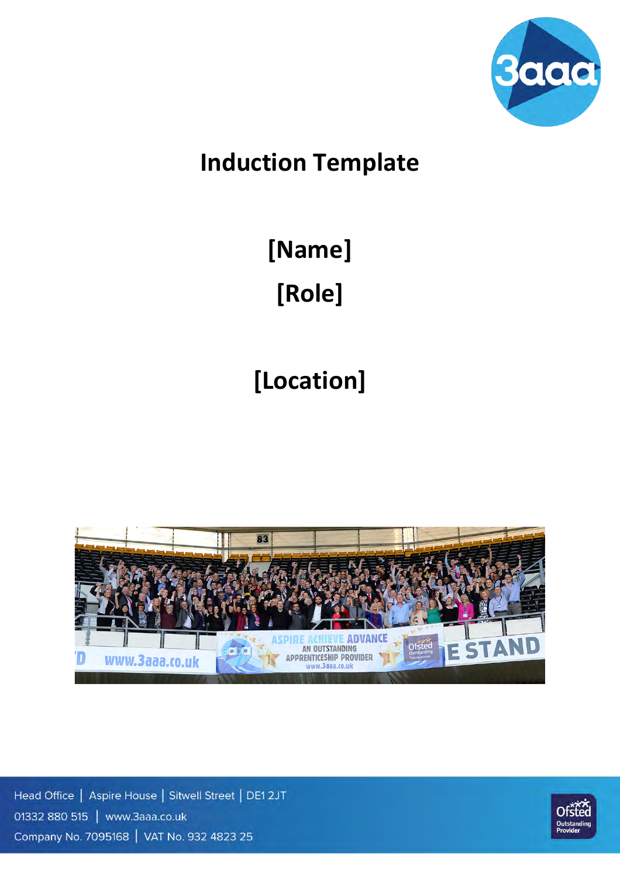

## **Induction Template**

# **[Name] [Role]**

# **[Location]**



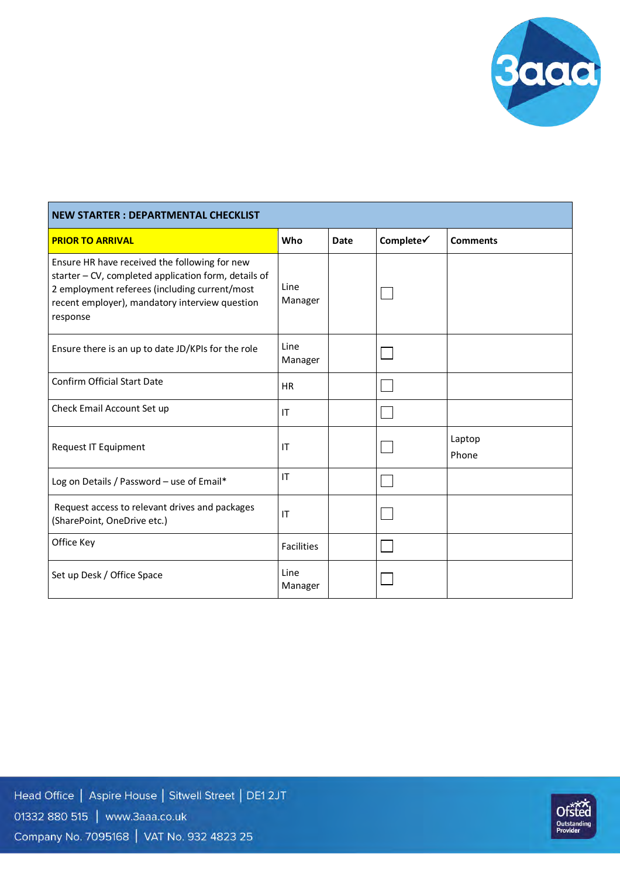

| <b>NEW STARTER: DEPARTMENTAL CHECKLIST</b>                                                                                                                                                                           |                   |             |           |                 |  |
|----------------------------------------------------------------------------------------------------------------------------------------------------------------------------------------------------------------------|-------------------|-------------|-----------|-----------------|--|
| <b>PRIOR TO ARRIVAL</b>                                                                                                                                                                                              | Who               | <b>Date</b> | Complete√ | <b>Comments</b> |  |
| Ensure HR have received the following for new<br>starter - CV, completed application form, details of<br>2 employment referees (including current/most<br>recent employer), mandatory interview question<br>response | Line<br>Manager   |             |           |                 |  |
| Ensure there is an up to date JD/KPIs for the role                                                                                                                                                                   | Line<br>Manager   |             |           |                 |  |
| <b>Confirm Official Start Date</b>                                                                                                                                                                                   | <b>HR</b>         |             |           |                 |  |
| Check Email Account Set up                                                                                                                                                                                           | IT                |             |           |                 |  |
| Request IT Equipment                                                                                                                                                                                                 | IT                |             |           | Laptop<br>Phone |  |
| Log on Details / Password - use of Email*                                                                                                                                                                            | IT                |             |           |                 |  |
| Request access to relevant drives and packages<br>(SharePoint, OneDrive etc.)                                                                                                                                        | IT                |             |           |                 |  |
| Office Key                                                                                                                                                                                                           | <b>Facilities</b> |             |           |                 |  |
| Set up Desk / Office Space                                                                                                                                                                                           | Line<br>Manager   |             |           |                 |  |

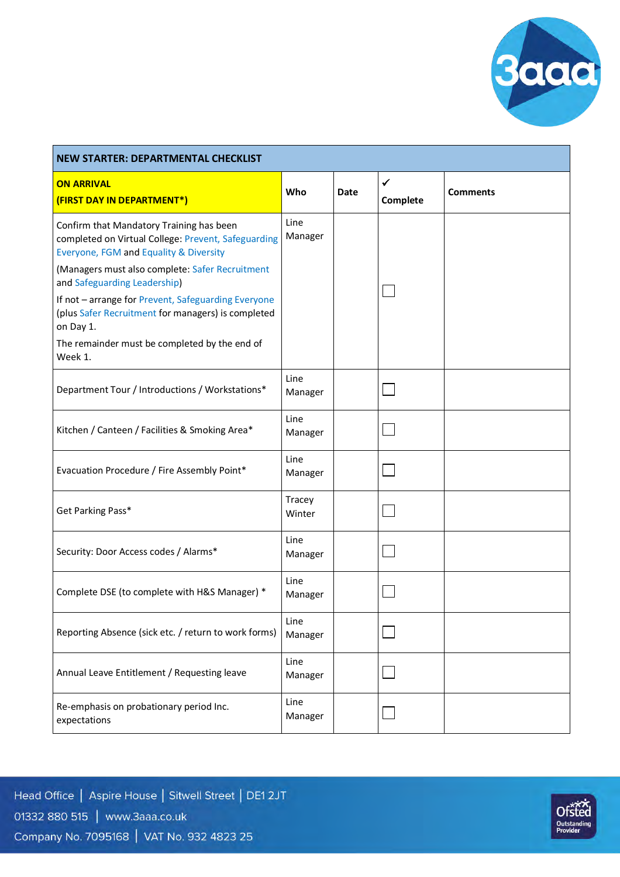

| <b>NEW STARTER: DEPARTMENTAL CHECKLIST</b>                                                                                                                                                                                                                                                                                                                                                                         |                  |      |                          |                 |  |  |
|--------------------------------------------------------------------------------------------------------------------------------------------------------------------------------------------------------------------------------------------------------------------------------------------------------------------------------------------------------------------------------------------------------------------|------------------|------|--------------------------|-----------------|--|--|
| <b>ON ARRIVAL</b><br>(FIRST DAY IN DEPARTMENT*)                                                                                                                                                                                                                                                                                                                                                                    | Who              | Date | $\checkmark$<br>Complete | <b>Comments</b> |  |  |
| Confirm that Mandatory Training has been<br>completed on Virtual College: Prevent, Safeguarding<br>Everyone, FGM and Equality & Diversity<br>(Managers must also complete: Safer Recruitment<br>and Safeguarding Leadership)<br>If not - arrange for Prevent, Safeguarding Everyone<br>(plus Safer Recruitment for managers) is completed<br>on Day 1.<br>The remainder must be completed by the end of<br>Week 1. | Line<br>Manager  |      |                          |                 |  |  |
| Department Tour / Introductions / Workstations*                                                                                                                                                                                                                                                                                                                                                                    | Line<br>Manager  |      |                          |                 |  |  |
| Kitchen / Canteen / Facilities & Smoking Area*                                                                                                                                                                                                                                                                                                                                                                     | Line<br>Manager  |      |                          |                 |  |  |
| Evacuation Procedure / Fire Assembly Point*                                                                                                                                                                                                                                                                                                                                                                        | Line<br>Manager  |      |                          |                 |  |  |
| Get Parking Pass*                                                                                                                                                                                                                                                                                                                                                                                                  | Tracey<br>Winter |      |                          |                 |  |  |
| Security: Door Access codes / Alarms*                                                                                                                                                                                                                                                                                                                                                                              | Line<br>Manager  |      |                          |                 |  |  |
| Complete DSE (to complete with H&S Manager) *                                                                                                                                                                                                                                                                                                                                                                      | Line<br>Manager  |      |                          |                 |  |  |
| Reporting Absence (sick etc. / return to work forms)                                                                                                                                                                                                                                                                                                                                                               | Line<br>Manager  |      |                          |                 |  |  |
| Annual Leave Entitlement / Requesting leave                                                                                                                                                                                                                                                                                                                                                                        | Line<br>Manager  |      |                          |                 |  |  |
| Re-emphasis on probationary period Inc.<br>expectations                                                                                                                                                                                                                                                                                                                                                            | Line<br>Manager  |      |                          |                 |  |  |

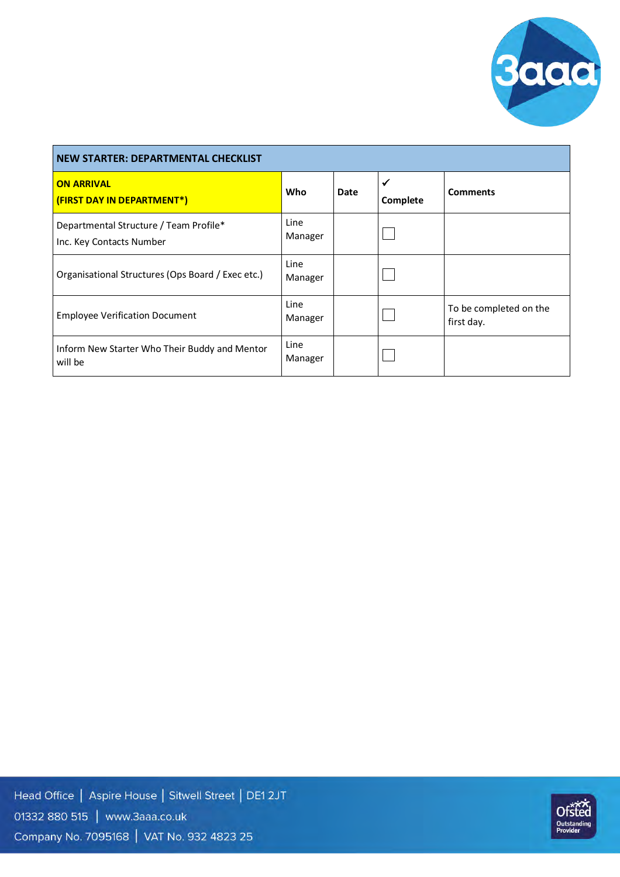

| <b>NEW STARTER: DEPARTMENTAL CHECKLIST</b>                         |                 |      |                          |                                      |  |  |
|--------------------------------------------------------------------|-----------------|------|--------------------------|--------------------------------------|--|--|
| <b>ON ARRIVAL</b><br>(FIRST DAY IN DEPARTMENT*)                    | Who             | Date | $\checkmark$<br>Complete | <b>Comments</b>                      |  |  |
| Departmental Structure / Team Profile*<br>Inc. Key Contacts Number | Line<br>Manager |      |                          |                                      |  |  |
| Organisational Structures (Ops Board / Exec etc.)                  | Line<br>Manager |      |                          |                                      |  |  |
| <b>Employee Verification Document</b>                              | Line<br>Manager |      |                          | To be completed on the<br>first day. |  |  |
| Inform New Starter Who Their Buddy and Mentor<br>will be           | Line<br>Manager |      |                          |                                      |  |  |

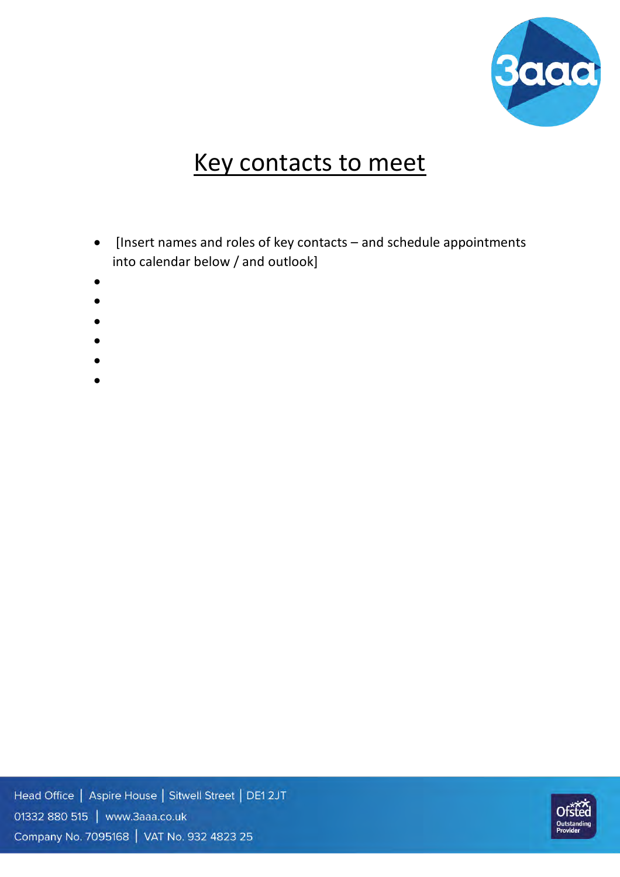

## Key contacts to meet

- [Insert names and roles of key contacts and schedule appointments into calendar below / and outlook]
- •
- •
- •
- 
- •
- •
- •

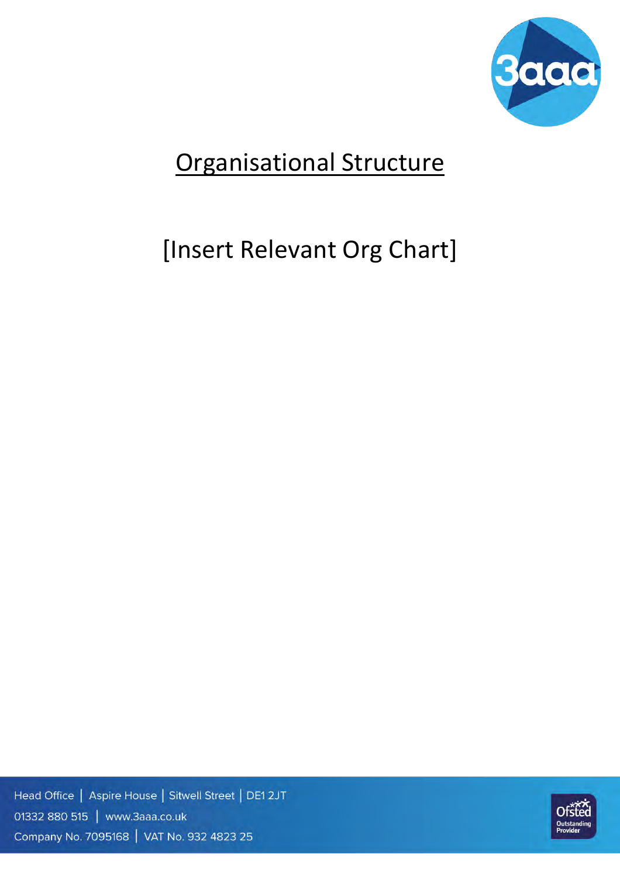

## Organisational Structure

## [Insert Relevant Org Chart]

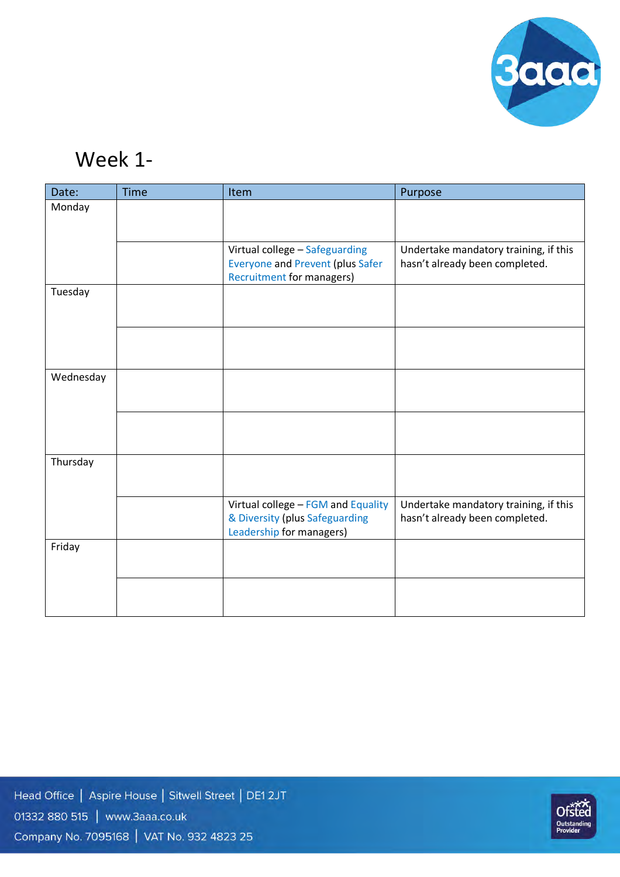

## Week 1-

| Date:     | <b>Time</b> | Item                                                                                                          | Purpose                                                                 |
|-----------|-------------|---------------------------------------------------------------------------------------------------------------|-------------------------------------------------------------------------|
| Monday    |             |                                                                                                               |                                                                         |
|           |             |                                                                                                               |                                                                         |
|           |             | Virtual college - Safeguarding<br><b>Everyone and Prevent (plus Safer</b><br><b>Recruitment for managers)</b> | Undertake mandatory training, if this<br>hasn't already been completed. |
| Tuesday   |             |                                                                                                               |                                                                         |
|           |             |                                                                                                               |                                                                         |
| Wednesday |             |                                                                                                               |                                                                         |
|           |             |                                                                                                               |                                                                         |
| Thursday  |             |                                                                                                               |                                                                         |
|           |             | Virtual college - FGM and Equality<br>& Diversity (plus Safeguarding<br>Leadership for managers)              | Undertake mandatory training, if this<br>hasn't already been completed. |
| Friday    |             |                                                                                                               |                                                                         |
|           |             |                                                                                                               |                                                                         |

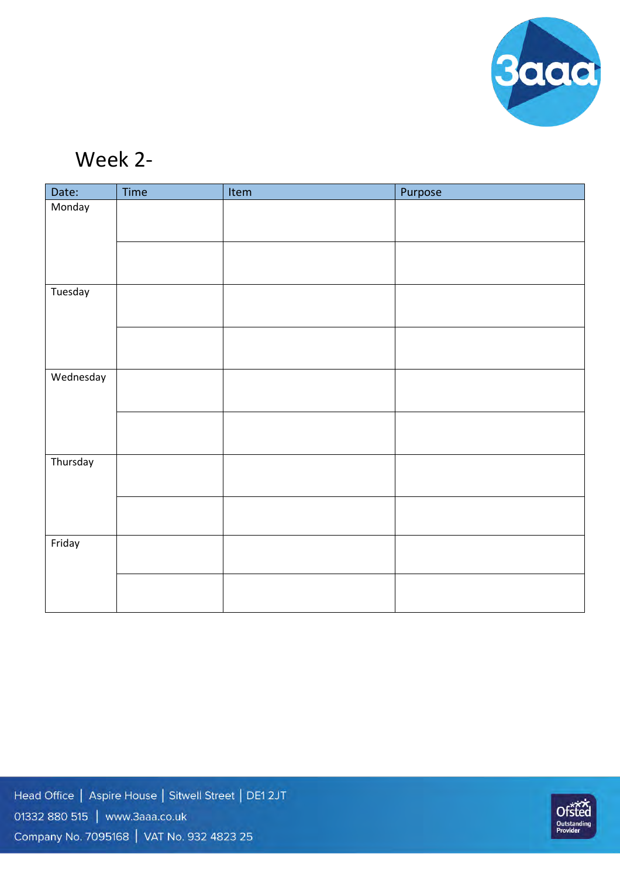

## Week 2-

| Date:     | Time | Item | Purpose |
|-----------|------|------|---------|
| Monday    |      |      |         |
|           |      |      |         |
|           |      |      |         |
|           |      |      |         |
| Tuesday   |      |      |         |
|           |      |      |         |
|           |      |      |         |
|           |      |      |         |
| Wednesday |      |      |         |
|           |      |      |         |
|           |      |      |         |
|           |      |      |         |
| Thursday  |      |      |         |
|           |      |      |         |
|           |      |      |         |
|           |      |      |         |
| Friday    |      |      |         |
|           |      |      |         |
|           |      |      |         |
|           |      |      |         |

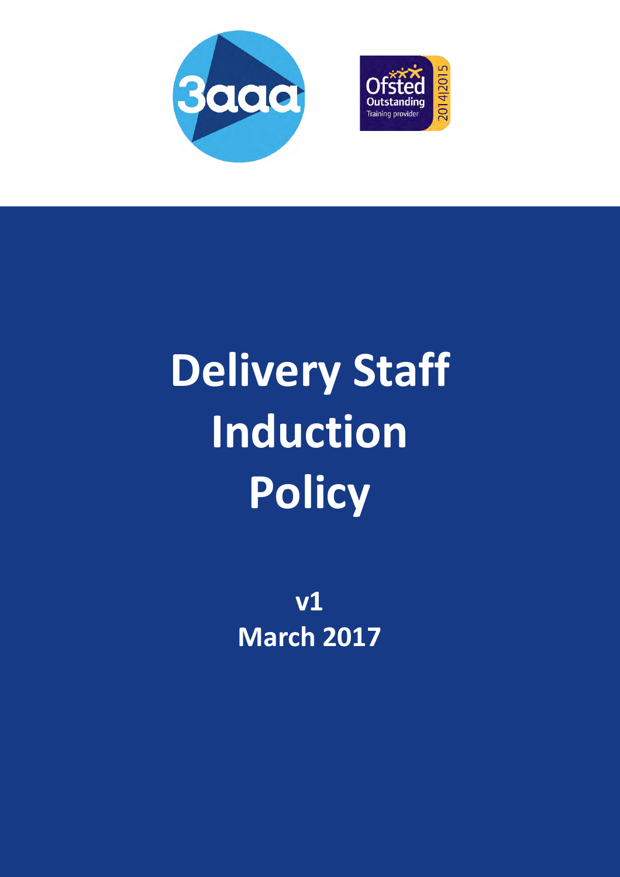



# **Delivery Staff Induction Policy**

**v1 March 2017**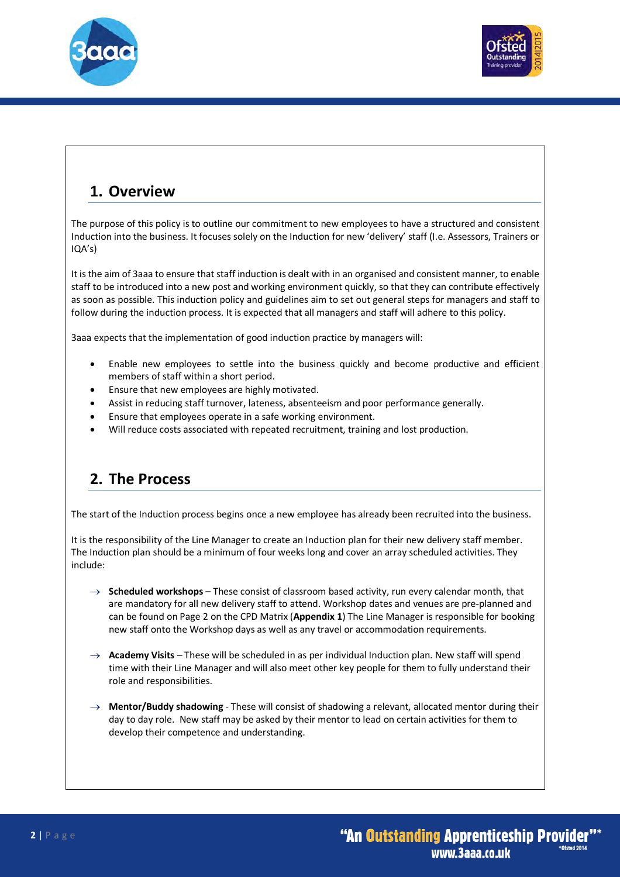



#### **1. Overview**

The purpose of this policy is to outline our commitment to new employees to have a structured and consistent Induction into the business. It focuses solely on the Induction for new 'delivery' staff (I.e. Assessors, Trainers or IQA's)

It is the aim of 3aaa to ensure that staff induction is dealt with in an organised and consistent manner, to enable staff to be introduced into a new post and working environment quickly, so that they can contribute effectively as soon as possible. This induction policy and guidelines aim to set out general steps for managers and staff to follow during the induction process. It is expected that all managers and staff will adhere to this policy.

3aaa expects that the implementation of good induction practice by managers will:

- Enable new employees to settle into the business quickly and become productive and efficient members of staff within a short period.
- Ensure that new employees are highly motivated.
- Assist in reducing staff turnover, lateness, absenteeism and poor performance generally.
- Ensure that employees operate in a safe working environment.
- Will reduce costs associated with repeated recruitment, training and lost production.

#### **2. The Process**

The start of the Induction process begins once a new employee has already been recruited into the business.

It is the responsibility of the Line Manager to create an Induction plan for their new delivery staff member. The Induction plan should be a minimum of four weeks long and cover an array scheduled activities. They include:

- $\rightarrow$  **Scheduled workshops** These consist of classroom based activity, run every calendar month, that are mandatory for all new delivery staff to attend. Workshop dates and venues are pre-planned and can be found on Page 2 on the CPD Matrix (**Appendix 1**) The Line Manager is responsible for booking new staff onto the Workshop days as well as any travel or accommodation requirements.
- $\rightarrow$  **Academy Visits** These will be scheduled in as per individual Induction plan. New staff will spend time with their Line Manager and will also meet other key people for them to fully understand their role and responsibilities.
- $\rightarrow$  **Mentor/Buddy shadowing** These will consist of shadowing a relevant, allocated mentor during their day to day role. New staff may be asked by their mentor to lead on certain activities for them to develop their competence and understanding.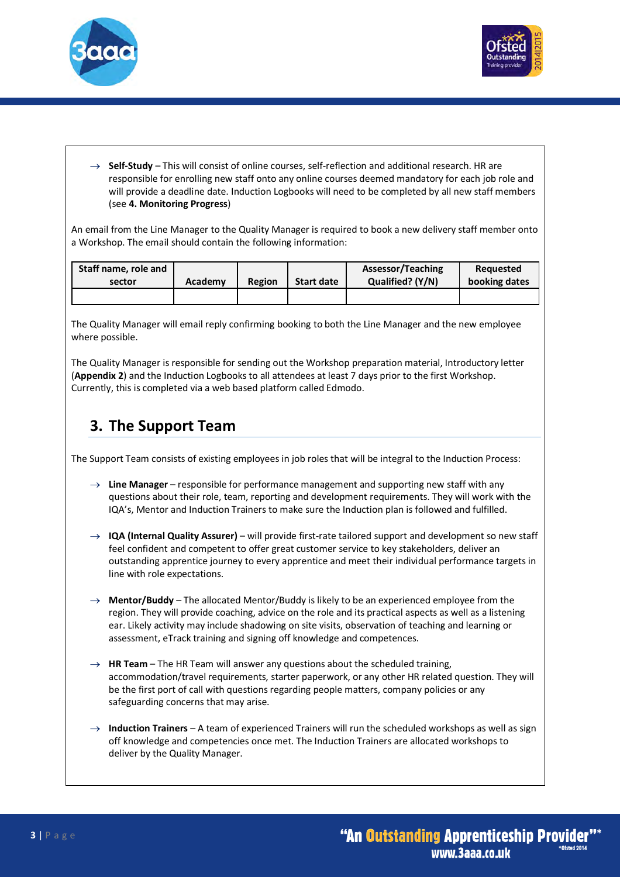



 $\rightarrow$  **Self-Study** – This will consist of online courses, self-reflection and additional research. HR are responsible for enrolling new staff onto any online courses deemed mandatory for each job role and will provide a deadline date. Induction Logbooks will need to be completed by all new staff members (see **4. Monitoring Progress**)

An email from the Line Manager to the Quality Manager is required to book a new delivery staff member onto a Workshop. The email should contain the following information:

| Staff name, role and |         |               |            | Assessor/Teaching | Reauested     |
|----------------------|---------|---------------|------------|-------------------|---------------|
| sector               | Academy | <b>Region</b> | Start date | Qualified? (Y/N)  | booking dates |
|                      |         |               |            |                   |               |

The Quality Manager will email reply confirming booking to both the Line Manager and the new employee where possible.

The Quality Manager is responsible for sending out the Workshop preparation material, Introductory letter (**Appendix 2**) and the Induction Logbooks to all attendees at least 7 days prior to the first Workshop. Currently, this is completed via a web based platform called Edmodo.

#### **3. The Support Team**

The Support Team consists of existing employees in job roles that will be integral to the Induction Process:

- $\rightarrow$  Line Manager responsible for performance management and supporting new staff with any questions about their role, team, reporting and development requirements. They will work with the IQA's, Mentor and Induction Trainers to make sure the Induction plan is followed and fulfilled.
- ® **IQA (Internal Quality Assurer)** will provide first-rate tailored support and development so new staff feel confident and competent to offer great customer service to key stakeholders, deliver an outstanding apprentice journey to every apprentice and meet their individual performance targets in line with role expectations.
- $\rightarrow$  Mentor/Buddy The allocated Mentor/Buddy is likely to be an experienced employee from the region. They will provide coaching, advice on the role and its practical aspects as well as a listening ear. Likely activity may include shadowing on site visits, observation of teaching and learning or assessment, eTrack training and signing off knowledge and competences.
- $\rightarrow$  **HR Team** The HR Team will answer any questions about the scheduled training, accommodation/travel requirements, starter paperwork, or any other HR related question. They will be the first port of call with questions regarding people matters, company policies or any safeguarding concerns that may arise.
- $\rightarrow$  **Induction Trainers** A team of experienced Trainers will run the scheduled workshops as well as sign off knowledge and competencies once met. The Induction Trainers are allocated workshops to deliver by the Quality Manager.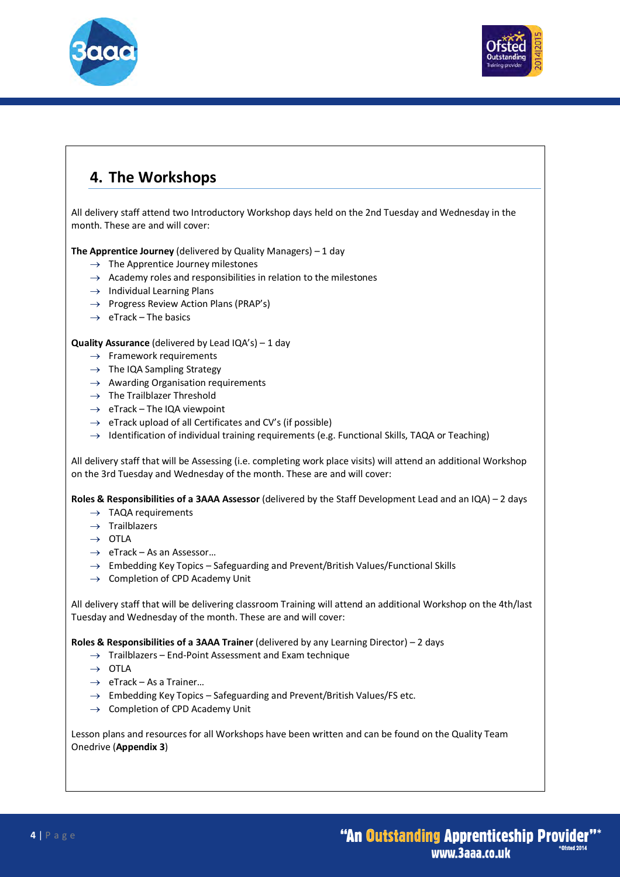



### **4. The Workshops**

All delivery staff attend two Introductory Workshop days held on the 2nd Tuesday and Wednesday in the month. These are and will cover:

**The Apprentice Journey** (delivered by Quality Managers) – 1 day

- $\rightarrow$  The Apprentice Journey milestones
- $\rightarrow$  Academy roles and responsibilities in relation to the milestones
- $\rightarrow$  Individual Learning Plans
- $\rightarrow$  Progress Review Action Plans (PRAP's)
- $\rightarrow$  eTrack The basics

#### **Quality Assurance** (delivered by Lead IQA's) – 1 day

- $\rightarrow$  Framework requirements
- $\rightarrow$  The IQA Sampling Strategy
- $\rightarrow$  Awarding Organisation requirements
- $\rightarrow$  The Trailblazer Threshold
- $\rightarrow$  eTrack The IQA viewpoint
- $\rightarrow$  eTrack upload of all Certificates and CV's (if possible)
- $\rightarrow$  Identification of individual training requirements (e.g. Functional Skills, TAQA or Teaching)

All delivery staff that will be Assessing (i.e. completing work place visits) will attend an additional Workshop on the 3rd Tuesday and Wednesday of the month. These are and will cover:

**Roles & Responsibilities of a 3AAA Assessor** (delivered by the Staff Development Lead and an IQA) – 2 days

- $\rightarrow$  TAQA requirements
- $\rightarrow$  Trailblazers
- $\rightarrow$  OTLA
- $\rightarrow$  eTrack As an Assessor...
- $\rightarrow$  Embedding Key Topics Safeguarding and Prevent/British Values/Functional Skills
- $\rightarrow$  Completion of CPD Academy Unit

All delivery staff that will be delivering classroom Training will attend an additional Workshop on the 4th/last Tuesday and Wednesday of the month. These are and will cover:

**Roles & Responsibilities of a 3AAA Trainer** (delivered by any Learning Director) – 2 days

- $\rightarrow$  Trailblazers End-Point Assessment and Exam technique
- $\rightarrow$  OTLA
- $\rightarrow$  eTrack As a Trainer...
- $\rightarrow$  Embedding Key Topics Safeguarding and Prevent/British Values/FS etc.
- $\rightarrow$  Completion of CPD Academy Unit

Lesson plans and resources for all Workshops have been written and can be found on the Quality Team Onedrive (**Appendix 3**)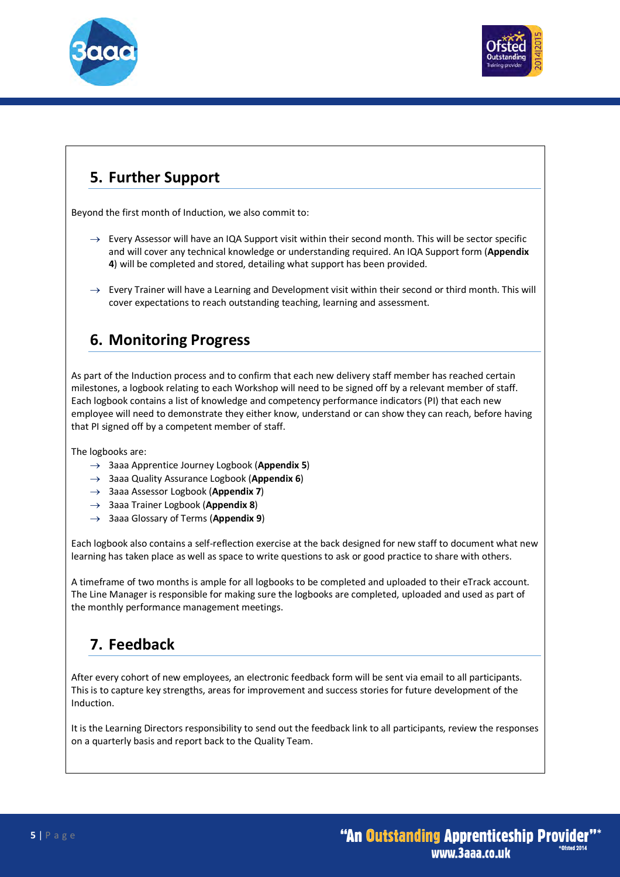



## **5. Further Support**

Beyond the first month of Induction, we also commit to:

- $\rightarrow$  Every Assessor will have an IQA Support visit within their second month. This will be sector specific and will cover any technical knowledge or understanding required. An IQA Support form (**Appendix 4**) will be completed and stored, detailing what support has been provided.
- $\rightarrow$  Every Trainer will have a Learning and Development visit within their second or third month. This will cover expectations to reach outstanding teaching, learning and assessment.

#### **6. Monitoring Progress**

As part of the Induction process and to confirm that each new delivery staff member has reached certain milestones, a logbook relating to each Workshop will need to be signed off by a relevant member of staff. Each logbook contains a list of knowledge and competency performance indicators (PI) that each new employee will need to demonstrate they either know, understand or can show they can reach, before having that PI signed off by a competent member of staff.

The logbooks are:

- ® 3aaa Apprentice Journey Logbook (**Appendix 5**)
- → 3aaa Quality Assurance Logbook (**Appendix 6**)
- ® 3aaa Assessor Logbook (**Appendix 7**)
- ® 3aaa Trainer Logbook (**Appendix 8**)
- ® 3aaa Glossary of Terms (**Appendix 9**)

Each logbook also contains a self-reflection exercise at the back designed for new staff to document what new learning has taken place as well as space to write questions to ask or good practice to share with others.

A timeframe of two months is ample for all logbooks to be completed and uploaded to their eTrack account. The Line Manager is responsible for making sure the logbooks are completed, uploaded and used as part of the monthly performance management meetings.

### **7. Feedback**

After every cohort of new employees, an electronic feedback form will be sent via email to all participants. This is to capture key strengths, areas for improvement and success stories for future development of the Induction.

It is the Learning Directors responsibility to send out the feedback link to all participants, review the responses on a quarterly basis and report back to the Quality Team.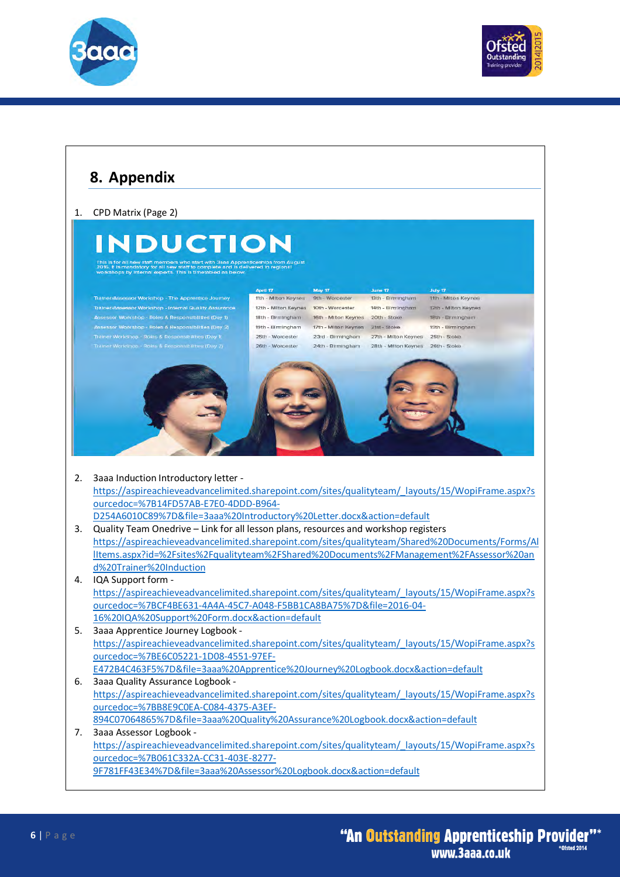



#### **8. Appendix** 1. CPD Matrix (Page 2) **INDUCTION** July 17<br>-<br>- Ifth - Milton Keynes 11th - Milton Keynes 9th - Worcester 13th - Birmingham or Workshop - The Apprentice Journey sor Workshop - Internal Quality Assurance 12th - Milton Keynes 10th - Worcester 14th - Birmingham 12th - Milton Keynes sor Workshop - Roles & Responsibilities (Day 1)<br>sor Workshop - Roles & Responsibilities (Day 2) 18th - Birmingham 16th - Milton Keynes 20th - Stoke 18th - Birmingham 17th - Milton Keynes 21st - Stoke 19th - Birmingham 19th - Birmingham 25th - Worcester 23rd - Birmingham 27th - Milton Keynes 25th - Stoke 24th - Birmingham 28th - Milton Keynes 26th - Stoke Workshon - Roles & Resnor sibilities (Dav 2) 26th - Worcester 2. 3aaa Induction Introductory letter https://aspireachieveadvancelimited.sharepoint.com/sites/qualityteam/\_layouts/15/WopiFrame.aspx?s ourcedoc=%7B14FD57AB-E7E0-4DDD-B964- D254A6010C89%7D&file=3aaa%20Introductory%20Letter.docx&action=default 3. Quality Team Onedrive – Link for all lesson plans, resources and workshop registers https://aspireachieveadvancelimited.sharepoint.com/sites/qualityteam/Shared%20Documents/Forms/Al lItems.aspx?id=%2Fsites%2Fqualityteam%2FShared%20Documents%2FManagement%2FAssessor%20an d%20Trainer%20Induction 4. IQA Support form https://aspireachieveadvancelimited.sharepoint.com/sites/qualityteam/\_layouts/15/WopiFrame.aspx?s ourcedoc=%7BCF4BE631-4A4A-45C7-A048-F5BB1CA8BA75%7D&file=2016-04- 16%20IQA%20Support%20Form.docx&action=default 5. 3aaa Apprentice Journey Logbook https://aspireachieveadvancelimited.sharepoint.com/sites/qualityteam/\_layouts/15/WopiFrame.aspx?s ourcedoc=%7BE6C05221-1D08-4551-97EF-E472B4C463F5%7D&file=3aaa%20Apprentice%20Journey%20Logbook.docx&action=default 6. 3aaa Quality Assurance Logbook https://aspireachieveadvancelimited.sharepoint.com/sites/qualityteam/\_layouts/15/WopiFrame.aspx?s ourcedoc=%7BB8E9C0EA-C084-4375-A3EF-894C07064865%7D&file=3aaa%20Quality%20Assurance%20Logbook.docx&action=default 7. 3aaa Assessor Logbook https://aspireachieveadvancelimited.sharepoint.com/sites/qualityteam/\_layouts/15/WopiFrame.aspx?s ourcedoc=%7B061C332A-CC31-403E-8277- 9F781FF43E34%7D&file=3aaa%20Assessor%20Logbook.docx&action=default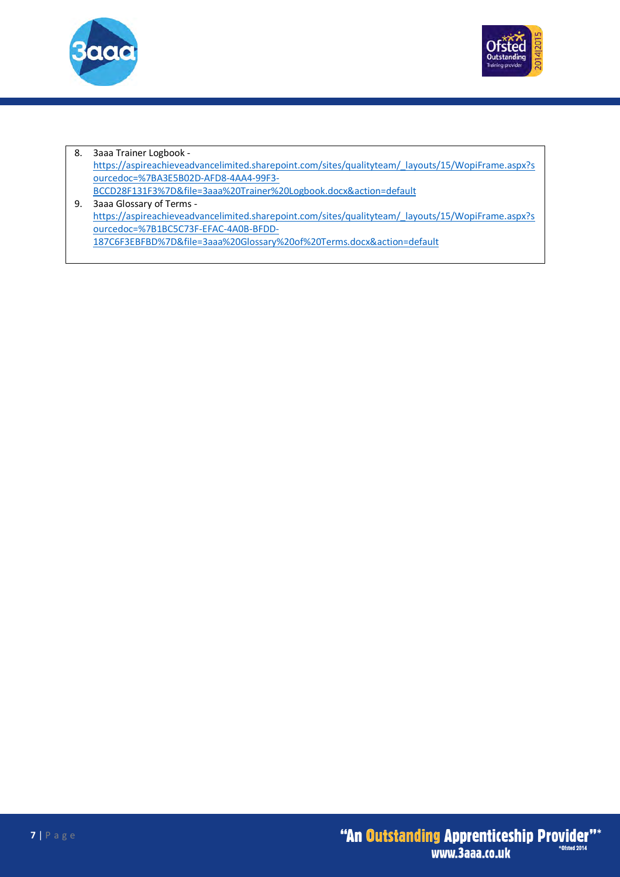



8. 3aaa Trainer Logbook https://aspireachieveadvancelimited.sharepoint.com/sites/qualityteam/\_layouts/15/WopiFrame.aspx?s ourcedoc=%7BA3E5B02D-AFD8-4AA4-99F3- BCCD28F131F3%7D&file=3aaa%20Trainer%20Logbook.docx&action=default 9. 3aaa Glossary of Terms https://aspireachieveadvancelimited.sharepoint.com/sites/qualityteam/\_layouts/15/WopiFrame.aspx?s ourcedoc=%7B1BC5C73F-EFAC-4A0B-BFDD-

187C6F3EBFBD%7D&file=3aaa%20Glossary%20of%20Terms.docx&action=default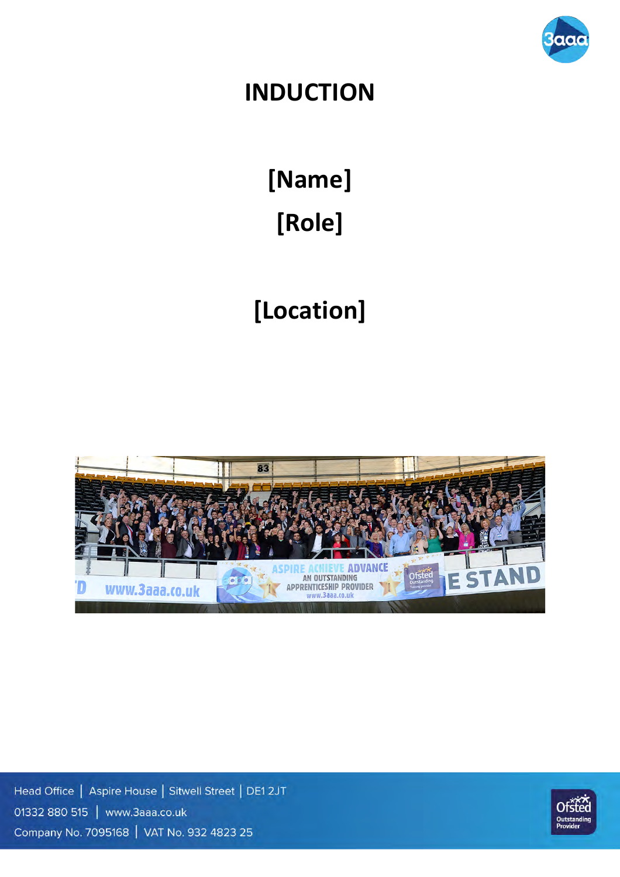

## **INDUCTION**

**[Name] [Role]** 

# **[Location]**



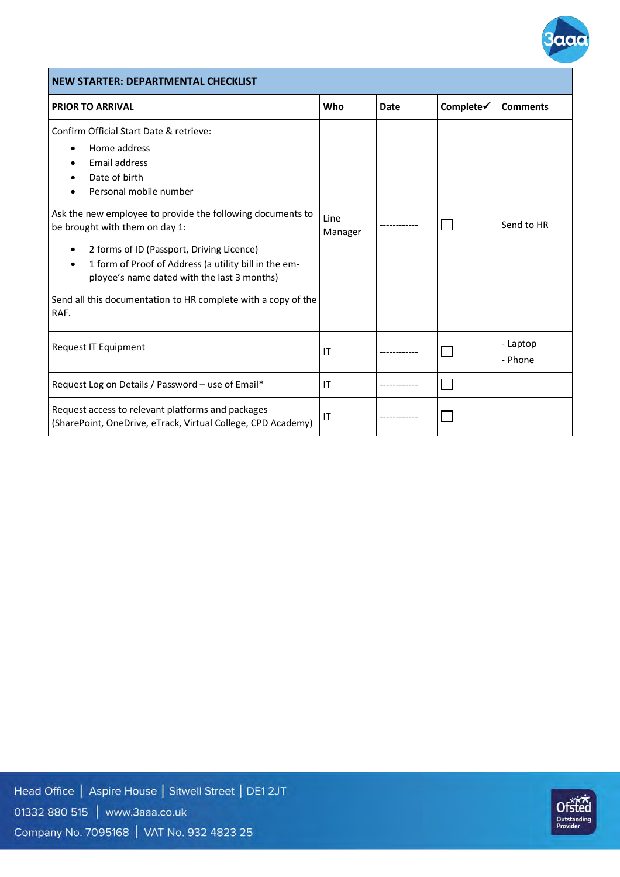

#### **NEW STARTER: DEPARTMENTAL CHECKLIST PRIOR TO ARRIVAL COMMENTS PRIOR TO ARRIVAL** Confirm Official Start Date & retrieve: • Home address • Email address Date of birth • Personal mobile number Ask the new employee to provide the following documents to Line  $\begin{array}{c} \text{Line} \\ \text{Manager} \end{array}$   $\begin{array}{c} \end{array}$   $\begin{array}{c} \square \end{array}$   $\begin{array}{c} \text{Send to HR} \end{array}$ be brought with them on day 1: • 2 forms of ID (Passport, Driving Licence) • 1 form of Proof of Address (a utility bill in the employee's name dated with the last 3 months) Send all this documentation to HR complete with a copy of the RAF. Request IT Equipment IT ------------ - Laptop - Phone Request Log on Details / Password – use of Email\*  $\vert$  IT  $\Box$ Request access to relevant platforms and packages  $\Box$ (SharePoint, OneDrive, eTrack, Virtual College, CPD Academy)

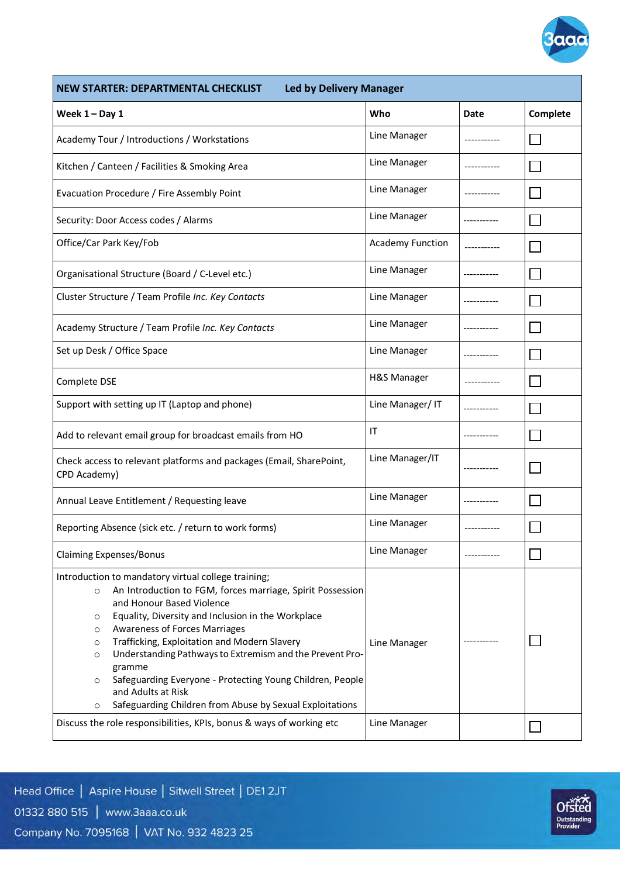

| NEW STARTER: DEPARTMENTAL CHECKLIST                                                                                                                                                                                                                                                                                                                                                                                                                                                                                                                                                | <b>Led by Delivery Manager</b> |             |          |  |  |  |
|------------------------------------------------------------------------------------------------------------------------------------------------------------------------------------------------------------------------------------------------------------------------------------------------------------------------------------------------------------------------------------------------------------------------------------------------------------------------------------------------------------------------------------------------------------------------------------|--------------------------------|-------------|----------|--|--|--|
| Week $1 - Day 1$                                                                                                                                                                                                                                                                                                                                                                                                                                                                                                                                                                   | Who                            | Date        | Complete |  |  |  |
| Academy Tour / Introductions / Workstations                                                                                                                                                                                                                                                                                                                                                                                                                                                                                                                                        | Line Manager                   |             |          |  |  |  |
| Kitchen / Canteen / Facilities & Smoking Area                                                                                                                                                                                                                                                                                                                                                                                                                                                                                                                                      | Line Manager                   |             |          |  |  |  |
| Evacuation Procedure / Fire Assembly Point                                                                                                                                                                                                                                                                                                                                                                                                                                                                                                                                         | Line Manager                   |             |          |  |  |  |
| Security: Door Access codes / Alarms                                                                                                                                                                                                                                                                                                                                                                                                                                                                                                                                               | Line Manager                   |             |          |  |  |  |
| Office/Car Park Key/Fob                                                                                                                                                                                                                                                                                                                                                                                                                                                                                                                                                            | <b>Academy Function</b>        |             |          |  |  |  |
| Organisational Structure (Board / C-Level etc.)                                                                                                                                                                                                                                                                                                                                                                                                                                                                                                                                    | Line Manager                   |             |          |  |  |  |
| Cluster Structure / Team Profile Inc. Key Contacts                                                                                                                                                                                                                                                                                                                                                                                                                                                                                                                                 | Line Manager                   |             |          |  |  |  |
| Academy Structure / Team Profile Inc. Key Contacts                                                                                                                                                                                                                                                                                                                                                                                                                                                                                                                                 | Line Manager                   |             |          |  |  |  |
| Set up Desk / Office Space                                                                                                                                                                                                                                                                                                                                                                                                                                                                                                                                                         | Line Manager                   |             |          |  |  |  |
| Complete DSE                                                                                                                                                                                                                                                                                                                                                                                                                                                                                                                                                                       | H&S Manager                    |             |          |  |  |  |
| Support with setting up IT (Laptop and phone)                                                                                                                                                                                                                                                                                                                                                                                                                                                                                                                                      | Line Manager/IT                |             |          |  |  |  |
| Add to relevant email group for broadcast emails from HO                                                                                                                                                                                                                                                                                                                                                                                                                                                                                                                           | IT                             |             |          |  |  |  |
| Check access to relevant platforms and packages (Email, SharePoint,<br>CPD Academy)                                                                                                                                                                                                                                                                                                                                                                                                                                                                                                | Line Manager/IT                |             |          |  |  |  |
| Annual Leave Entitlement / Requesting leave                                                                                                                                                                                                                                                                                                                                                                                                                                                                                                                                        | Line Manager                   |             |          |  |  |  |
| Reporting Absence (sick etc. / return to work forms)                                                                                                                                                                                                                                                                                                                                                                                                                                                                                                                               | Line Manager                   | ----------- |          |  |  |  |
| <b>Claiming Expenses/Bonus</b>                                                                                                                                                                                                                                                                                                                                                                                                                                                                                                                                                     | Line Manager                   |             |          |  |  |  |
| Introduction to mandatory virtual college training;<br>An Introduction to FGM, forces marriage, Spirit Possession<br>$\circ$<br>and Honour Based Violence<br>Equality, Diversity and Inclusion in the Workplace<br>O<br><b>Awareness of Forces Marriages</b><br>O<br>Trafficking, Exploitation and Modern Slavery<br>$\circ$<br>Understanding Pathways to Extremism and the Prevent Pro-<br>$\circ$<br>gramme<br>Safeguarding Everyone - Protecting Young Children, People<br>$\circ$<br>and Adults at Risk<br>Safeguarding Children from Abuse by Sexual Exploitations<br>$\circ$ | Line Manager                   |             |          |  |  |  |
| Discuss the role responsibilities, KPIs, bonus & ways of working etc                                                                                                                                                                                                                                                                                                                                                                                                                                                                                                               | Line Manager                   |             |          |  |  |  |

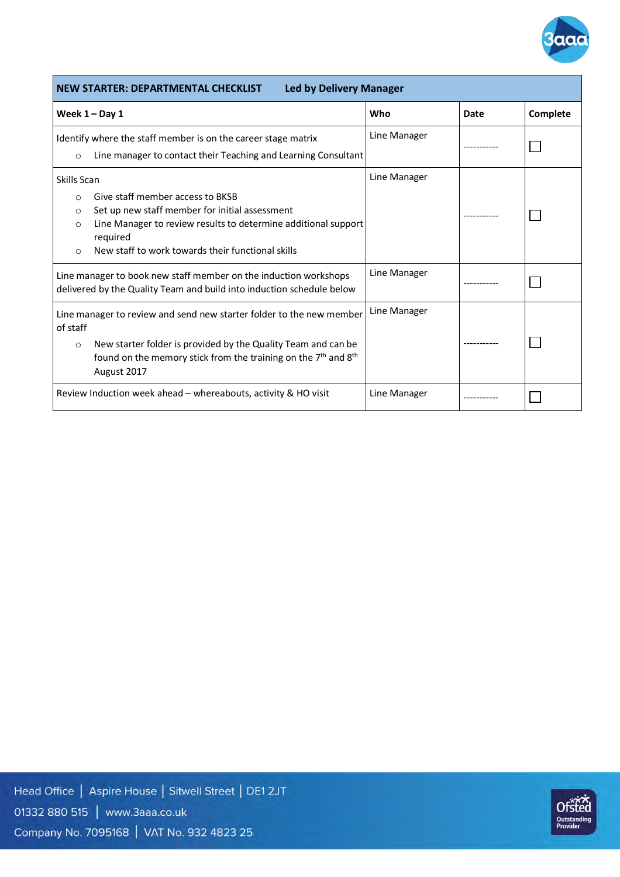

| <b>NEW STARTER: DEPARTMENTAL CHECKLIST</b><br><b>Led by Delivery Manager</b>                                                                                                                                                                                                        |              |      |          |  |  |
|-------------------------------------------------------------------------------------------------------------------------------------------------------------------------------------------------------------------------------------------------------------------------------------|--------------|------|----------|--|--|
| Week $1 - Day 1$                                                                                                                                                                                                                                                                    | Who          | Date | Complete |  |  |
| Identify where the staff member is on the career stage matrix<br>Line manager to contact their Teaching and Learning Consultant<br>$\circ$                                                                                                                                          | Line Manager |      |          |  |  |
| Skills Scan<br>Give staff member access to BKSB<br>$\Omega$<br>Set up new staff member for initial assessment<br>$\circ$<br>Line Manager to review results to determine additional support<br>$\circ$<br>required<br>New staff to work towards their functional skills<br>$\bigcap$ | Line Manager |      |          |  |  |
| Line manager to book new staff member on the induction workshops<br>delivered by the Quality Team and build into induction schedule below                                                                                                                                           | Line Manager |      |          |  |  |
| Line manager to review and send new starter folder to the new member<br>of staff<br>New starter folder is provided by the Quality Team and can be<br>$\circ$<br>found on the memory stick from the training on the $7th$ and $8th$<br>August 2017                                   | Line Manager |      |          |  |  |
| Review Induction week ahead - whereabouts, activity & HO visit                                                                                                                                                                                                                      | Line Manager |      |          |  |  |

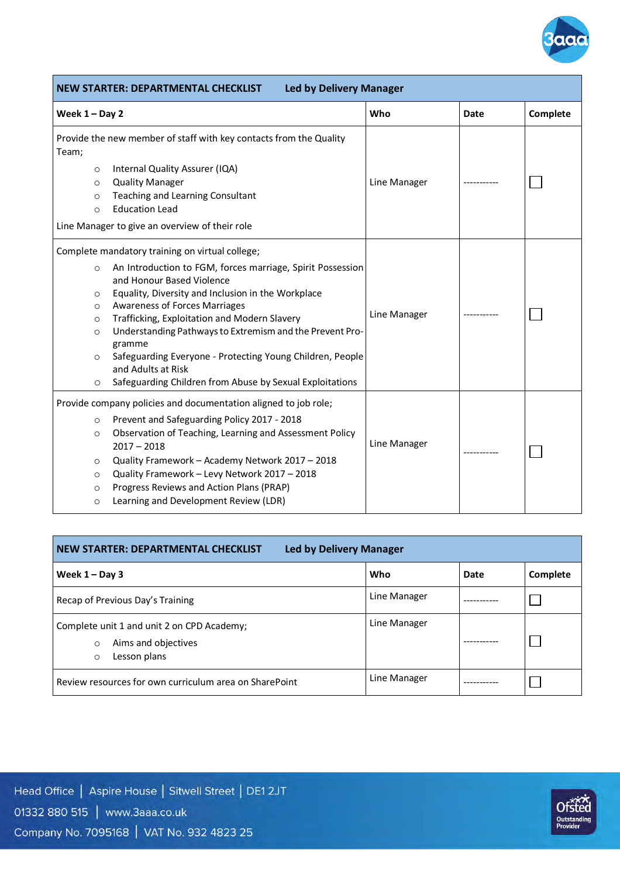

|                                                                           | <b>Led by Delivery Manager</b><br><b>NEW STARTER: DEPARTMENTAL CHECKLIST</b>                                                                                                                                                                                                                                                                                                                                                                                                                                  |              |      |          |  |  |
|---------------------------------------------------------------------------|---------------------------------------------------------------------------------------------------------------------------------------------------------------------------------------------------------------------------------------------------------------------------------------------------------------------------------------------------------------------------------------------------------------------------------------------------------------------------------------------------------------|--------------|------|----------|--|--|
| Week $1 - Day 2$                                                          |                                                                                                                                                                                                                                                                                                                                                                                                                                                                                                               | Who          | Date | Complete |  |  |
| Team;<br>$\circ$<br>$\circ$<br>$\circ$<br>$\circ$                         | Provide the new member of staff with key contacts from the Quality<br>Internal Quality Assurer (IQA)<br><b>Quality Manager</b><br>Teaching and Learning Consultant<br><b>Education Lead</b><br>Line Manager to give an overview of their role                                                                                                                                                                                                                                                                 | Line Manager |      |          |  |  |
| $\circ$<br>$\circ$<br>$\circ$<br>$\circ$<br>$\circ$<br>$\circ$<br>$\circ$ | Complete mandatory training on virtual college;<br>An Introduction to FGM, forces marriage, Spirit Possession<br>and Honour Based Violence<br>Equality, Diversity and Inclusion in the Workplace<br><b>Awareness of Forces Marriages</b><br>Trafficking, Exploitation and Modern Slavery<br>Understanding Pathways to Extremism and the Prevent Pro-<br>gramme<br>Safeguarding Everyone - Protecting Young Children, People<br>and Adults at Risk<br>Safeguarding Children from Abuse by Sexual Exploitations | Line Manager |      |          |  |  |
| $\circ$<br>$\circ$<br>$\circ$<br>$\circ$<br>$\circ$<br>$\circ$            | Provide company policies and documentation aligned to job role;<br>Prevent and Safeguarding Policy 2017 - 2018<br>Observation of Teaching, Learning and Assessment Policy<br>$2017 - 2018$<br>Quality Framework - Academy Network 2017 - 2018<br>Quality Framework - Levy Network 2017 - 2018<br>Progress Reviews and Action Plans (PRAP)<br>Learning and Development Review (LDR)                                                                                                                            | Line Manager |      |          |  |  |

| <b>NEW STARTER: DEPARTMENTAL CHECKLIST</b><br><b>Led by Delivery Manager</b>                            |              |      |          |  |  |
|---------------------------------------------------------------------------------------------------------|--------------|------|----------|--|--|
| Week $1 - Day 3$                                                                                        | Who          | Date | Complete |  |  |
| Recap of Previous Day's Training                                                                        | Line Manager |      |          |  |  |
| Complete unit 1 and unit 2 on CPD Academy;<br>Aims and objectives<br>$\circ$<br>Lesson plans<br>$\circ$ | Line Manager |      |          |  |  |
| Review resources for own curriculum area on SharePoint                                                  | Line Manager |      |          |  |  |

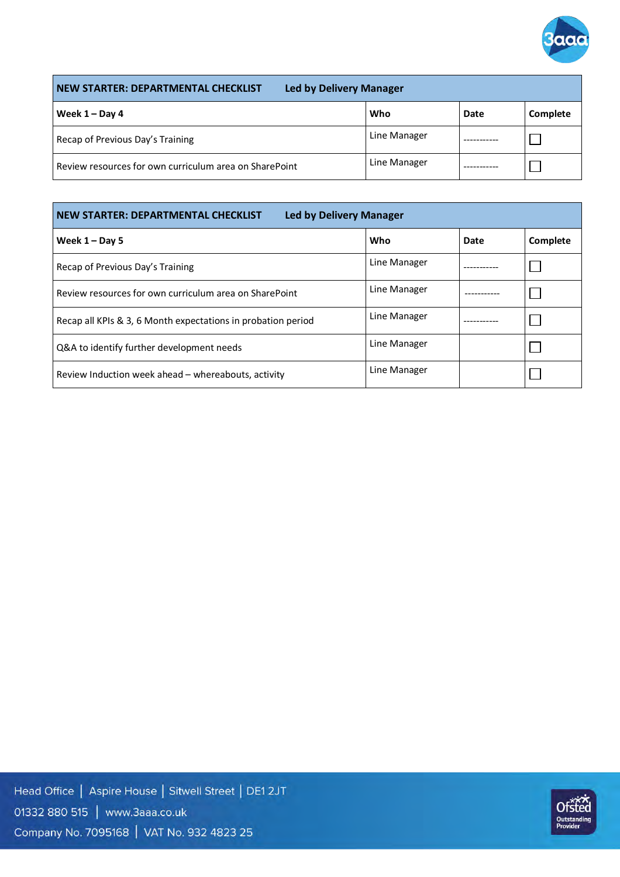

| <b>Led by Delivery Manager</b><br>NEW STARTER: DEPARTMENTAL CHECKLIST |              |      |                 |  |  |
|-----------------------------------------------------------------------|--------------|------|-----------------|--|--|
| Week $1 - Day 4$                                                      | Who          | Date | <b>Complete</b> |  |  |
| Recap of Previous Day's Training                                      | Line Manager |      |                 |  |  |
| Review resources for own curriculum area on SharePoint                | Line Manager |      |                 |  |  |

| <b>NEW STARTER: DEPARTMENTAL CHECKLIST</b><br><b>Led by Delivery Manager</b> |              |      |          |  |  |  |
|------------------------------------------------------------------------------|--------------|------|----------|--|--|--|
| Week $1 -$ Day 5                                                             | Who          | Date | Complete |  |  |  |
| Recap of Previous Day's Training                                             | Line Manager |      |          |  |  |  |
| Review resources for own curriculum area on SharePoint                       | Line Manager |      |          |  |  |  |
| Recap all KPIs & 3, 6 Month expectations in probation period                 | Line Manager |      |          |  |  |  |
| Q&A to identify further development needs                                    | Line Manager |      |          |  |  |  |
| Review Induction week ahead – whereabouts, activity                          | Line Manager |      |          |  |  |  |

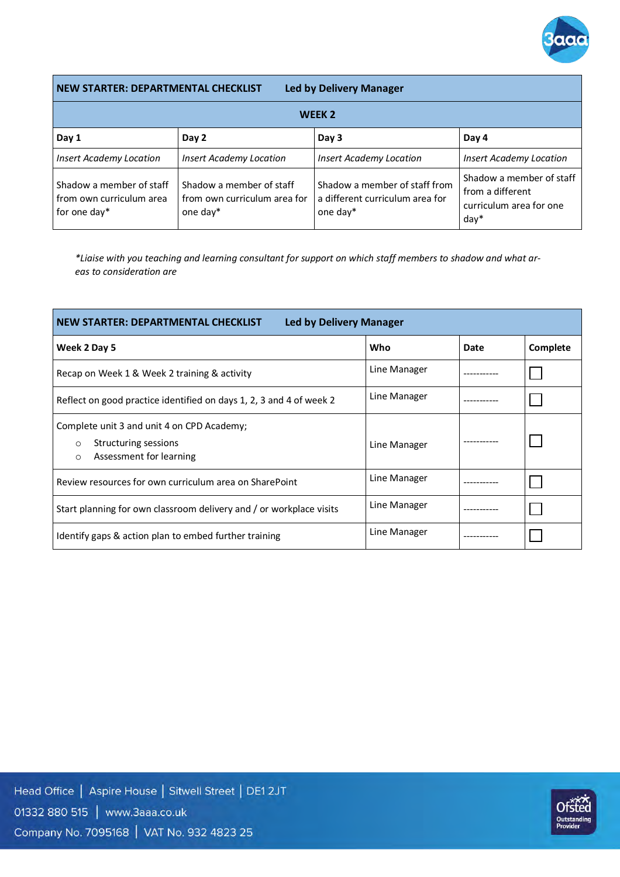

**NEW STARTER: DEPARTMENTAL CHECKLIST Led by Delivery Manager**

| WEEK <sub>2</sub>                                                    |                                                                      |                                                                              |                                                                                       |
|----------------------------------------------------------------------|----------------------------------------------------------------------|------------------------------------------------------------------------------|---------------------------------------------------------------------------------------|
| Day 1                                                                | Day 2                                                                | Day 3                                                                        | Day 4                                                                                 |
| <b>Insert Academy Location</b>                                       | <b>Insert Academy Location</b>                                       | <b>Insert Academy Location</b>                                               | <b>Insert Academy Location</b>                                                        |
| Shadow a member of staff<br>from own curriculum area<br>for one day* | Shadow a member of staff<br>from own curriculum area for<br>one day* | Shadow a member of staff from<br>a different curriculum area for<br>one day* | Shadow a member of staff<br>l from a different<br>l curriculum area for one<br>$day*$ |

*\*Liaise with you teaching and learning consultant for support on which staff members to shadow and what areas to consideration are*

| <b>NEW STARTER: DEPARTMENTAL CHECKLIST</b><br><b>Led by Delivery Manager</b>                                        |              |      |          |
|---------------------------------------------------------------------------------------------------------------------|--------------|------|----------|
| Week 2 Day 5                                                                                                        | Who          | Date | Complete |
| Recap on Week 1 & Week 2 training & activity                                                                        | Line Manager |      |          |
| Reflect on good practice identified on days 1, 2, 3 and 4 of week 2                                                 | Line Manager |      |          |
| Complete unit 3 and unit 4 on CPD Academy;<br>Structuring sessions<br>$\circ$<br>Assessment for learning<br>$\circ$ | Line Manager |      |          |
| Review resources for own curriculum area on SharePoint                                                              | Line Manager |      |          |
| Start planning for own classroom delivery and / or workplace visits                                                 | Line Manager |      |          |
| Identify gaps & action plan to embed further training                                                               | Line Manager |      |          |

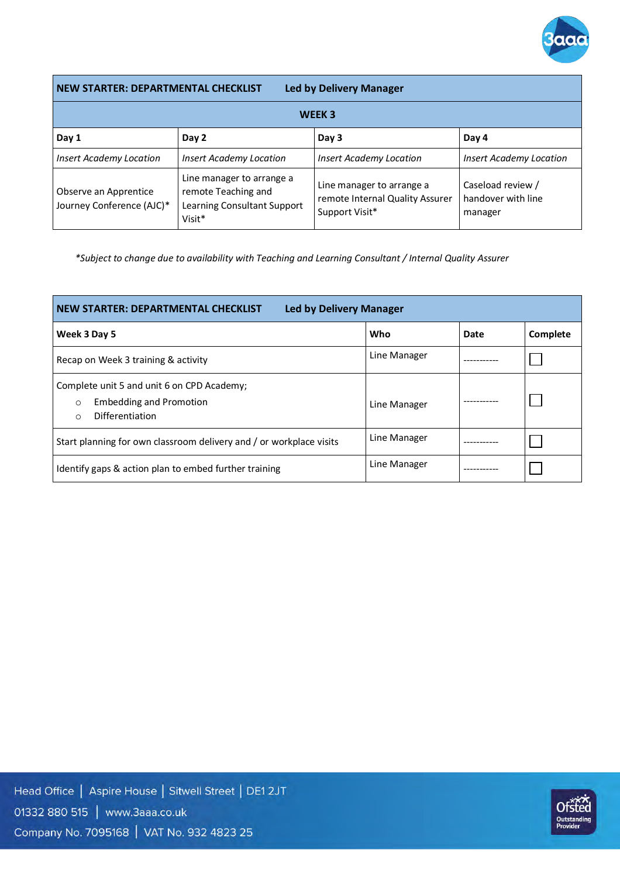

**NEW STARTER: DEPARTMENTAL CHECKLIST Led by Delivery Manager**

| WEEK <sub>3</sub>                                  |                                                                                           |                                                                                |                                                    |
|----------------------------------------------------|-------------------------------------------------------------------------------------------|--------------------------------------------------------------------------------|----------------------------------------------------|
| Day 1                                              | Day 2                                                                                     | Day 3                                                                          | Day 4                                              |
| <b>Insert Academy Location</b>                     | <b>Insert Academy Location</b>                                                            | <b>Insert Academy Location</b>                                                 | <b>Insert Academy Location</b>                     |
| Observe an Apprentice<br>Journey Conference (AJC)* | Line manager to arrange a<br>remote Teaching and<br>Learning Consultant Support<br>Visit* | Line manager to arrange a<br>remote Internal Quality Assurer<br>Support Visit* | Caseload review /<br>handover with line<br>manager |

*\*Subject to change due to availability with Teaching and Learning Consultant / Internal Quality Assurer*

| <b>NEW STARTER: DEPARTMENTAL CHECKLIST</b><br><b>Led by Delivery Manager</b>                                          |              |      |          |
|-----------------------------------------------------------------------------------------------------------------------|--------------|------|----------|
| Week 3 Day 5                                                                                                          | Who          | Date | Complete |
| Recap on Week 3 training & activity                                                                                   | Line Manager |      |          |
| Complete unit 5 and unit 6 on CPD Academy;<br><b>Embedding and Promotion</b><br>$\circ$<br>Differentiation<br>$\circ$ | Line Manager |      |          |
| Start planning for own classroom delivery and / or workplace visits                                                   | Line Manager |      |          |
| Identify gaps & action plan to embed further training                                                                 | Line Manager |      |          |